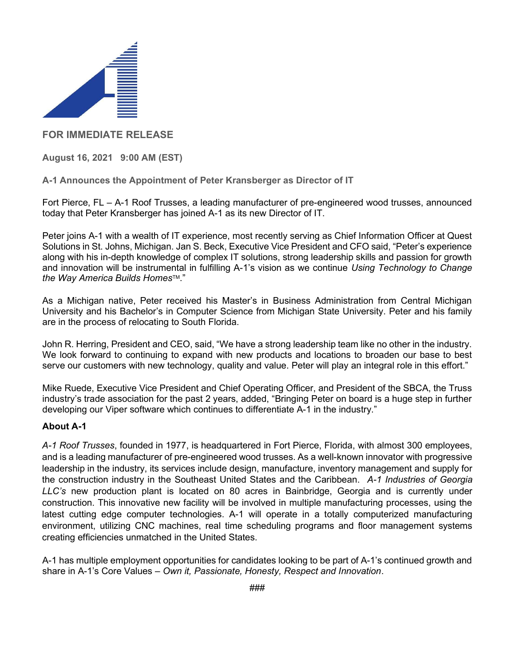

## FOR IMMEDIATE RELEASE

August 16, 2021 9:00 AM (EST)

A-1 Announces the Appointment of Peter Kransberger as Director of IT

Fort Pierce, FL – A-1 Roof Trusses, a leading manufacturer of pre-engineered wood trusses, announced today that Peter Kransberger has joined A-1 as its new Director of IT.

Peter joins A-1 with a wealth of IT experience, most recently serving as Chief Information Officer at Quest Solutions in St. Johns, Michigan. Jan S. Beck, Executive Vice President and CFO said, "Peter's experience along with his in-depth knowledge of complex IT solutions, strong leadership skills and passion for growth and innovation will be instrumental in fulfilling A-1's vision as we continue Using Technology to Change the Way America Builds Homes™."

As a Michigan native, Peter received his Master's in Business Administration from Central Michigan University and his Bachelor's in Computer Science from Michigan State University. Peter and his family are in the process of relocating to South Florida.

John R. Herring, President and CEO, said, "We have a strong leadership team like no other in the industry. We look forward to continuing to expand with new products and locations to broaden our base to best serve our customers with new technology, quality and value. Peter will play an integral role in this effort."

Mike Ruede, Executive Vice President and Chief Operating Officer, and President of the SBCA, the Truss industry's trade association for the past 2 years, added, "Bringing Peter on board is a huge step in further developing our Viper software which continues to differentiate A-1 in the industry."

## About A-1

A-1 Roof Trusses, founded in 1977, is headquartered in Fort Pierce, Florida, with almost 300 employees, and is a leading manufacturer of pre-engineered wood trusses. As a well-known innovator with progressive leadership in the industry, its services include design, manufacture, inventory management and supply for the construction industry in the Southeast United States and the Caribbean. A-1 Industries of Georgia LLC's new production plant is located on 80 acres in Bainbridge, Georgia and is currently under construction. This innovative new facility will be involved in multiple manufacturing processes, using the latest cutting edge computer technologies. A-1 will operate in a totally computerized manufacturing environment, utilizing CNC machines, real time scheduling programs and floor management systems creating efficiencies unmatched in the United States.

A-1 has multiple employment opportunities for candidates looking to be part of A-1's continued growth and share in A-1's Core Values – Own it, Passionate, Honesty, Respect and Innovation.